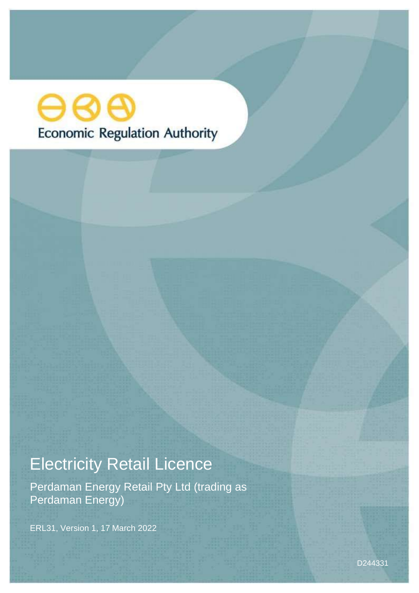# ဓဓဓ **Economic Regulation Authority**

# Electricity Retail Licence

Perdaman Energy Retail Pty Ltd (trading as Perdaman Energy)

ERL31, Version 1, 17 March 2022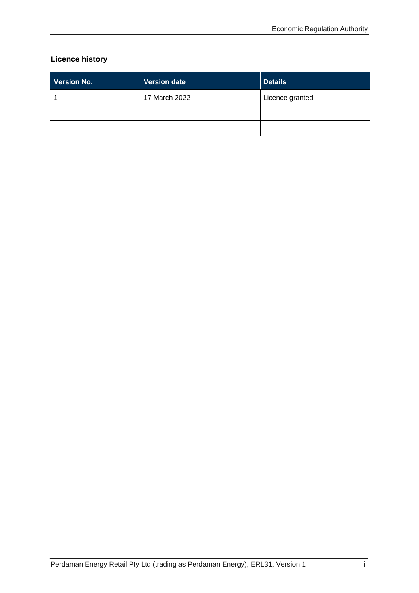## **Licence history**

| <b>Version No.</b> | Version date  | <b>Details</b>  |
|--------------------|---------------|-----------------|
|                    | 17 March 2022 | Licence granted |
|                    |               |                 |
|                    |               |                 |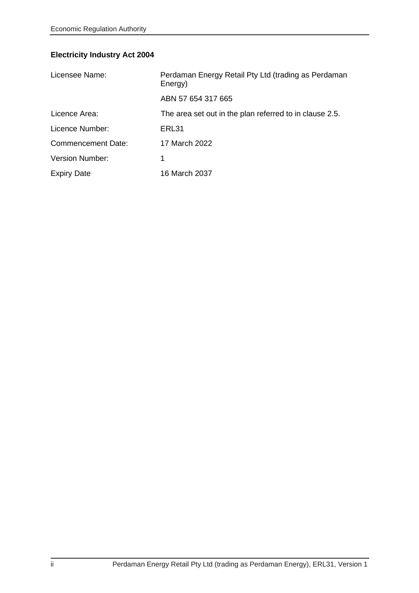# **Electricity Industry Act 2004**

| Licensee Name:            | Perdaman Energy Retail Pty Ltd (trading as Perdaman<br>Energy) |  |
|---------------------------|----------------------------------------------------------------|--|
|                           | ABN 57 654 317 665                                             |  |
| Licence Area:             | The area set out in the plan referred to in clause 2.5.        |  |
| Licence Number:           | ERL31                                                          |  |
| <b>Commencement Date:</b> | 17 March 2022                                                  |  |
| <b>Version Number:</b>    | 1                                                              |  |
| <b>Expiry Date</b>        | 16 March 2037                                                  |  |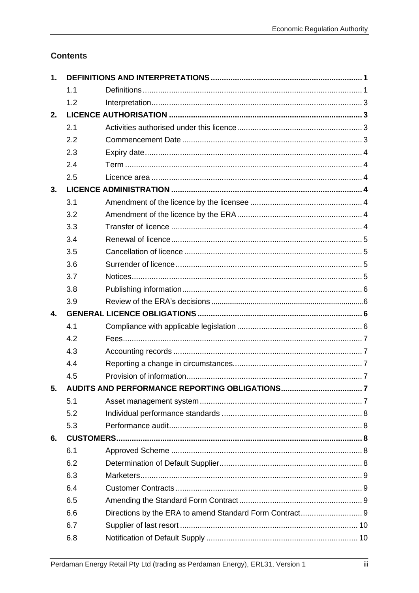# **Contents**

| 1.             |     |  |  |
|----------------|-----|--|--|
|                | 1.1 |  |  |
|                | 1.2 |  |  |
| 2.             |     |  |  |
|                | 2.1 |  |  |
|                | 2.2 |  |  |
|                | 2.3 |  |  |
|                | 2.4 |  |  |
|                | 2.5 |  |  |
| 3 <sub>1</sub> |     |  |  |
|                | 3.1 |  |  |
|                | 3.2 |  |  |
|                | 3.3 |  |  |
|                | 3.4 |  |  |
|                | 3.5 |  |  |
|                | 3.6 |  |  |
|                | 3.7 |  |  |
|                | 3.8 |  |  |
|                | 3.9 |  |  |
|                |     |  |  |
| 4.             |     |  |  |
|                | 4.1 |  |  |
|                | 4.2 |  |  |
|                | 4.3 |  |  |
|                | 4.4 |  |  |
|                | 4.5 |  |  |
| 5.             |     |  |  |
|                | 5.1 |  |  |
|                | 5.2 |  |  |
|                | 5.3 |  |  |
| 6.             |     |  |  |
|                | 6.1 |  |  |
|                | 6.2 |  |  |
|                | 6.3 |  |  |
|                | 6.4 |  |  |
|                | 6.5 |  |  |
|                | 6.6 |  |  |
|                | 6.7 |  |  |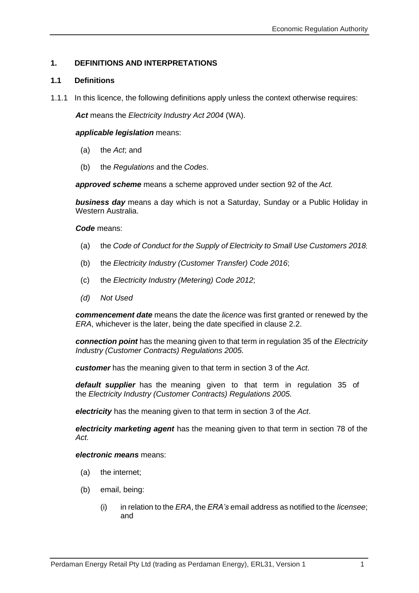### <span id="page-6-0"></span>**1. DEFINITIONS AND INTERPRETATIONS**

#### <span id="page-6-1"></span>**1.1 Definitions**

1.1.1 In this licence, the following definitions apply unless the context otherwise requires:

*Act* means the *Electricity Industry Act 2004* (WA).

*applicable legislation* means:

- (a) the *Act*; and
- (b) the *Regulations* and the *Codes*.

*approved scheme* means a scheme approved under section 92 of the *Act.*

*business day* means a day which is not a Saturday, Sunday or a Public Holiday in Western Australia.

*Code* means:

- (a) the *Code of Conduct for the Supply of Electricity to Small Use Customers 2018*;
- (b) the *Electricity Industry (Customer Transfer) Code 2016*;
- (c) the *Electricity Industry (Metering) Code 2012*;
- *(d) Not Used*

*commencement date* means the date the *licence* was first granted or renewed by the *ERA*, whichever is the later, being the date specified in clause 2.2.

*connection point* has the meaning given to that term in regulation 35 of the *[Electricity](http://www.slp.wa.gov.au/legislation/statutes.nsf/main_mrtitle_1345_homepage.html) Industry (Customer Contracts) [Regulations](http://www.slp.wa.gov.au/legislation/statutes.nsf/main_mrtitle_1345_homepage.html) 2005*.

*customer* has the meaning given to that term in section 3 of the *Act*.

*default supplier* has the meaning given to that term in regulation 35 of the *Electricity Industry (Customer [Contracts\) Regulations 2005.](http://www.slp.wa.gov.au/legislation/statutes.nsf/main_mrtitle_1345_homepage.html)*

*electricity* has the meaning given to that term in section 3 of the *Act*.

*electricity marketing agent* has the meaning given to that term in section 78 of the *Act.*

*electronic means* means:

- (a) the internet;
- (b) email, being:
	- (i) in relation to the *ERA*, the *ERA's* email address as notified to the *licensee*; and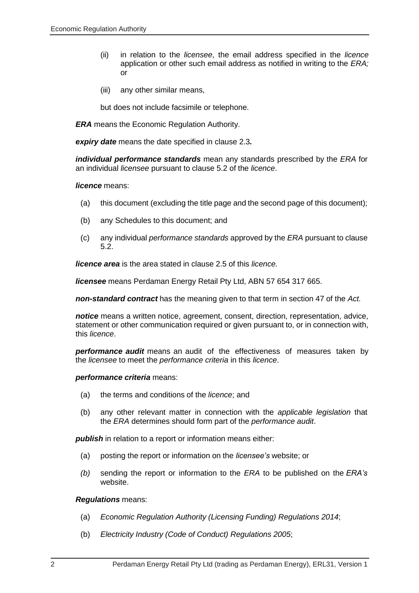- (ii) in relation to the *licensee*, the email address specified in the *licence* application or other such email address as notified in writing to the *ERA;* or
- (iii) any other similar means,

but does not include facsimile or telephone.

*ERA* means the Economic Regulation Authority.

*expiry date* means the date specified in clause 2.3*.*

*individual performance standards* mean any standards prescribed by the *ERA* for an individual *licensee* pursuant to clause 5.2 of the *licence*.

#### *licence* means:

- (a) this document (excluding the title page and the second page of this document);
- (b) any Schedules to this document; and
- (c) any individual *performance standards* approved by the *ERA* pursuant to clause 5.2.

*licence area* is the area stated in clause 2.5 of this *licence.*

*licensee* means Perdaman Energy Retail Pty Ltd, ABN 57 654 317 665.

*non-standard contract* has the meaning given to that term in section 47 of the *Act.*

*notice* means a written notice, agreement, consent, direction, representation, advice, statement or other communication required or given pursuant to, or in connection with, this *licence*.

*performance audit* means an audit of the effectiveness of measures taken by the *licensee* to meet the *performance criteria* in this *licence*.

#### *performance criteria* means:

- (a) the terms and conditions of the *licence*; and
- (b) any other relevant matter in connection with the *applicable legislation* that the *ERA* determines should form part of the *performance audit*.

*publish* in relation to a report or information means either:

- (a) posting the report or information on the *licensee's* website; or
- *(b)* sending the report or information to the *ERA* to be published on the *ERA's* website.

#### *Regulations* means:

- (a) *Economic Regulation Authority (Licensing Funding) Regulations 2014*;
- (b) *Electricity Industry (Code of Conduct) Regulations 2005*;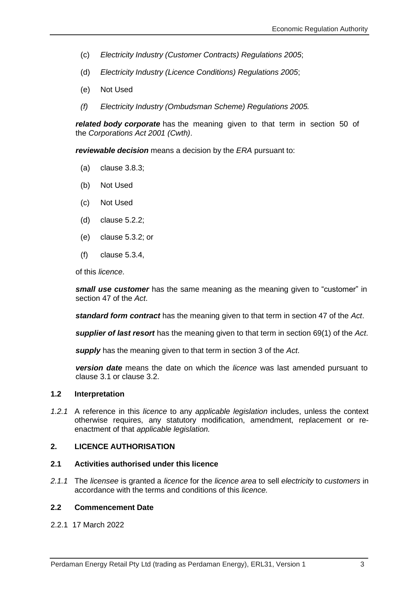- (c) *Electricity Industry (Customer Contracts) Regulations 2005*;
- (d) *Electricity Industry (Licence Conditions) Regulations 2005*;
- (e) Not Used
- *(f) Electricity Industry (Ombudsman Scheme) Regulations 2005.*

*related body corporate* has the meaning given to that term in section 50 of the *Corporations Act 2001 (Cwth)*.

*reviewable decision* means a decision by the *ERA* pursuant to:

- (a) clause 3.8.3;
- (b) Not Used
- (c) Not Used
- (d) clause 5.2.2;
- (e) clause 5.3.2; or
- (f) clause 5.3.4,

of this *licence*.

*small use customer* has the same meaning as the meaning given to "customer" in section 47 of the *Act*.

*standard form contract* has the meaning given to that term in section 47 of the *Act*.

*supplier of last resort* has the meaning given to that term in section 69(1) of the *Act*.

*supply* has the meaning given to that term in section 3 of the *Act*.

*version date* means the date on which the *licence* was last amended pursuant to clause 3.1 or clause 3.2.

#### <span id="page-8-0"></span>**1.2 Interpretation**

*1.2.1* A reference in this *licence* to any *applicable legislation* includes, unless the context otherwise requires, any statutory modification, amendment, replacement or reenactment of that *applicable legislation.*

#### <span id="page-8-1"></span>**2. LICENCE AUTHORISATION**

#### <span id="page-8-2"></span>**2.1 Activities authorised under this licence**

*2.1.1* The *licensee* is granted a *licence* for the *licence area* to sell *electricity* to *customers* in accordance with the terms and conditions of this *licence.*

#### <span id="page-8-3"></span>**2.2 Commencement Date**

2.2.1 17 March 2022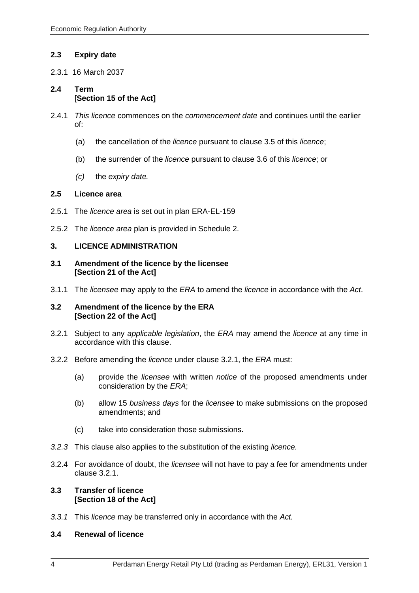#### <span id="page-9-0"></span>**2.3 Expiry date**

2.3.1 16 March 2037

#### <span id="page-9-1"></span>**2.4 Term** [**Section 15 of the Act]**

- 2.4.1 *This licence* commences on the *commencement date* and continues until the earlier of:
	- (a) the cancellation of the *licence* pursuant to clause 3.5 of this *licence*;
	- (b) the surrender of the *licence* pursuant to clause 3.6 of this *licence*; or
	- *(c)* the *expiry date.*

#### <span id="page-9-2"></span>**2.5 Licence area**

- 2.5.1 The *licence area* is set out in plan ERA-EL-159
- 2.5.2 The *licence area* plan is provided in Schedule 2.

#### <span id="page-9-3"></span>**3. LICENCE ADMINISTRATION**

#### <span id="page-9-4"></span>**3.1 Amendment of the licence by the licensee [Section 21 of the Act]**

3.1.1 The *licensee* may apply to the *ERA* to amend the *licence* in accordance with the *Act*.

#### <span id="page-9-5"></span>**3.2 Amendment of the licence by the ERA [Section 22 of the Act]**

- 3.2.1 Subject to any *applicable legislation*, the *ERA* may amend the *licence* at any time in accordance with this clause.
- 3.2.2 Before amending the *licence* under clause 3.2.1, the *ERA* must:
	- (a) provide the *licensee* with written *notice* of the proposed amendments under consideration by the *ERA*;
	- (b) allow 15 *business days* for the *licensee* to make submissions on the proposed amendments; and
	- (c) take into consideration those submissions.
- *3.2.3* This clause also applies to the substitution of the existing *licence.*
- 3.2.4 For avoidance of doubt, the *licensee* will not have to pay a fee for amendments under clause 3.2.1.

#### <span id="page-9-6"></span>**3.3 Transfer of licence [Section 18 of the Act]**

*3.3.1* This *licence* may be transferred only in accordance with the *Act.*

#### <span id="page-9-7"></span>**3.4 Renewal of licence**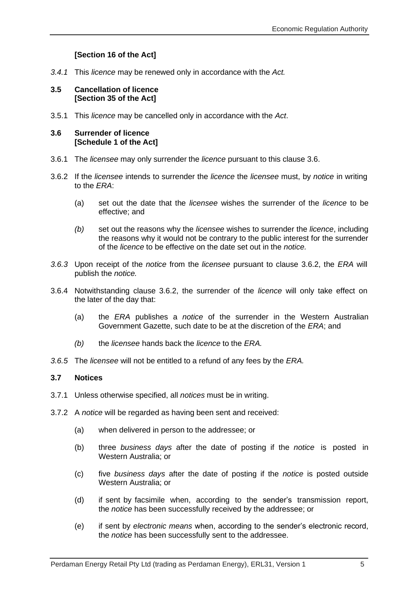### **[Section 16 of the Act]**

*3.4.1* This *licence* may be renewed only in accordance with the *Act.*

#### <span id="page-10-0"></span>**3.5 Cancellation of licence [Section 35 of the Act]**

3.5.1 This *licence* may be cancelled only in accordance with the *Act*.

#### <span id="page-10-1"></span>**3.6 Surrender of licence [Schedule 1 of the Act]**

- 3.6.1 The *licensee* may only surrender the *licence* pursuant to this clause 3.6.
- 3.6.2 If the *licensee* intends to surrender the *licence* the *licensee* must, by *notice* in writing to the *ERA*:
	- (a) set out the date that the *licensee* wishes the surrender of the *licence* to be effective; and
	- *(b)* set out the reasons why the *licensee* wishes to surrender the *licence*, including the reasons why it would not be contrary to the public interest for the surrender of the *licence* to be effective on the date set out in the *notice.*
- *3.6.3* Upon receipt of the *notice* from the *licensee* pursuant to clause 3.6.2, the *ERA* will publish the *notice.*
- 3.6.4 Notwithstanding clause 3.6.2, the surrender of the *licence* will only take effect on the later of the day that:
	- (a) the *ERA* publishes a *notice* of the surrender in the Western Australian Government Gazette, such date to be at the discretion of the *ERA*; and
	- *(b)* the *licensee* hands back the *licence* to the *ERA.*
- *3.6.5* The *licensee* will not be entitled to a refund of any fees by the *ERA.*

#### <span id="page-10-2"></span>**3.7 Notices**

- 3.7.1 Unless otherwise specified, all *notices* must be in writing.
- 3.7.2 A *notice* will be regarded as having been sent and received:
	- (a) when delivered in person to the addressee; or
	- (b) three *business days* after the date of posting if the *notice* is posted in Western Australia; or
	- (c) five *business days* after the date of posting if the *notice* is posted outside Western Australia; or
	- (d) if sent by facsimile when, according to the sender's transmission report, the *notice* has been successfully received by the addressee; or
	- (e) if sent by *electronic means* when, according to the sender's electronic record, the *notice* has been successfully sent to the addressee.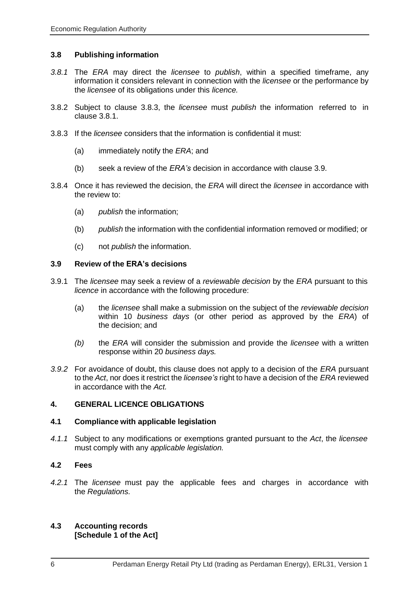#### <span id="page-11-0"></span>**3.8 Publishing information**

- *3.8.1* The *ERA* may direct the *licensee* to *publish*, within a specified timeframe, any information it considers relevant in connection with the *licensee* or the performance by the *licensee* of its obligations under this *licence.*
- 3.8.2 Subject to clause 3.8.3, the *licensee* must *publish* the information referred to in clause 3.8.1.
- 3.8.3 If the *licensee* considers that the information is confidential it must:
	- (a) immediately notify the *ERA*; and
	- (b) seek a review of the *ERA's* decision in accordance with clause 3.9.
- 3.8.4 Once it has reviewed the decision, the *ERA* will direct the *licensee* in accordance with the review to:
	- (a) *publish* the information;
	- (b) *publish* the information with the confidential information removed or modified; or
	- (c) not *publish* the information.

#### <span id="page-11-1"></span>**3.9 Review of the ERA's decisions**

- 3.9.1 The *licensee* may seek a review of a *reviewable decision* by the *ERA* pursuant to this *licence* in accordance with the following procedure:
	- (a) the *licensee* shall make a submission on the subject of the *reviewable decision* within 10 *business days* (or other period as approved by the *ERA*) of the decision; and
	- *(b)* the *ERA* will consider the submission and provide the *licensee* with a written response within 20 *business days.*
- *3.9.2* For avoidance of doubt, this clause does not apply to a decision of the *ERA* pursuant to the *Act*, nor does it restrict the *licensee's* right to have a decision of the *ERA* reviewed in accordance with the *Act.*

#### <span id="page-11-2"></span>**4. GENERAL LICENCE OBLIGATIONS**

#### <span id="page-11-3"></span>**4.1 Compliance with applicable legislation**

*4.1.1* Subject to any modifications or exemptions granted pursuant to the *Act*, the *licensee* must comply with any *applicable legislation.*

#### <span id="page-11-4"></span>**4.2 Fees**

*4.2.1* The *licensee* must pay the applicable fees and charges in accordance with the *Regulations.*

#### <span id="page-11-5"></span>**4.3 Accounting records [Schedule 1 of the Act]**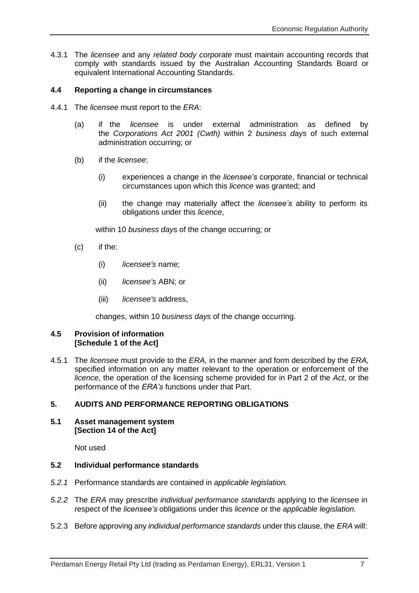4.3.1 The *licensee* and any *related body corporate* must maintain accounting records that comply with standards issued by the Australian Accounting Standards Board or equivalent International Accounting Standards.

#### <span id="page-12-0"></span>**4.4 Reporting a change in circumstances**

- 4.4.1 The *licensee* must report to the *ERA*:
	- (a) if the *licensee* is under external administration as defined by the *Corporations Act 2001 (Cwth)* within 2 *business days* of such external administration occurring; or
	- (b) if the *licensee*:
		- (i) experiences a change in the *licensee's* corporate, financial or technical circumstances upon which this *licence* was granted; and
		- (ii) the change may materially affect the *licensee's* ability to perform its obligations under this *licence*,

within 10 *business days* of the change occurring; or

- (c) if the:
	- (i) *licensee's* name;
	- (ii) *licensee's* ABN; or
	- (iii) *licensee's* address,

changes, within 10 *business days* of the change occurring.

#### <span id="page-12-1"></span>**4.5 Provision of information [Schedule 1 of the Act]**

4.5.1 The *licensee* must provide to the *ERA,* in the manner and form described by the *ERA,* specified information on any matter relevant to the operation or enforcement of the *licence*, the operation of the licensing scheme provided for in Part 2 of the *Act*, or the performance of the *ERA's* functions under that Part.

#### <span id="page-12-2"></span>**5. AUDITS AND PERFORMANCE REPORTING OBLIGATIONS**

#### <span id="page-12-3"></span>**5.1 Asset management system [Section 14 of the Act]**

Not used

#### <span id="page-12-4"></span>**5.2 Individual performance standards**

- *5.2.1* Performance standards are contained in *applicable legislation.*
- *5.2.2* The *ERA* may prescribe *individual performance standards* applying to the *licensee* in respect of the *licensee's* obligations under this *licence* or the *applicable legislation.*
- 5.2.3 Before approving any *individual performance standards* under this clause, the *ERA* will: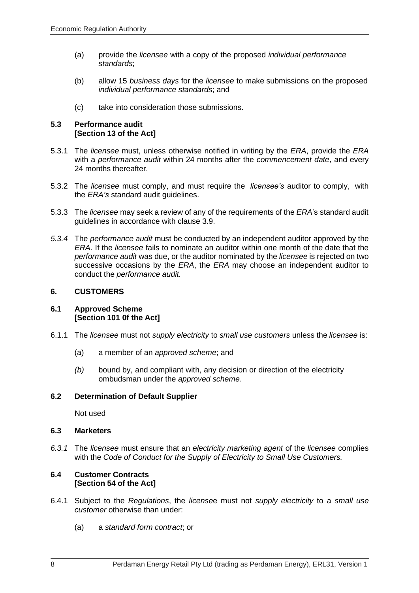- (a) provide the *licensee* with a copy of the proposed *individual performance standards*;
- (b) allow 15 *business days* for the *licensee* to make submissions on the proposed *individual performance standards*; and
- (c) take into consideration those submissions.

#### <span id="page-13-0"></span>**5.3 Performance audit [Section 13 of the Act]**

- 5.3.1 The *licensee* must, unless otherwise notified in writing by the *ERA*, provide the *ERA* with a *performance audit* within 24 months after the *commencement date*, and every 24 months thereafter.
- 5.3.2 The *licensee* must comply, and must require the *licensee's* auditor to comply, with the *ERA's* standard audit guidelines.
- 5.3.3 The *licensee* may seek a review of any of the requirements of the *ERA*'s standard audit guidelines in accordance with clause 3.9.
- *5.3.4* The *performance audit* must be conducted by an independent auditor approved by the *ERA*. If the *licensee* fails to nominate an auditor within one month of the date that the *performance audit* was due, or the auditor nominated by the *licensee* is rejected on two successive occasions by the *ERA*, the *ERA* may choose an independent auditor to conduct the *performance audit.*

#### <span id="page-13-1"></span>**6. CUSTOMERS**

#### <span id="page-13-2"></span>**6.1 Approved Scheme [Section 101 0f the Act]**

- 6.1.1 The *licensee* must not *supply electricity* to *small use customers* unless the *licensee* is:
	- (a) a member of an *approved scheme*; and
	- *(b)* bound by, and compliant with, any decision or direction of the electricity ombudsman under the *approved scheme.*

#### <span id="page-13-3"></span>**6.2 Determination of Default Supplier**

Not used

#### <span id="page-13-4"></span>**6.3 Marketers**

*6.3.1* The *licensee* must ensure that an *electricity marketing agent* of the *licensee* complies with the *Code of Conduct for the Supply of Electricity to Small Use Customers.*

#### <span id="page-13-5"></span>**6.4 Customer Contracts [Section 54 of the Act]**

- 6.4.1 Subject to the *Regulations*, the *license*e must not *supply electricity* to a *small use customer* otherwise than under:
	- (a) a *standard form contract*; or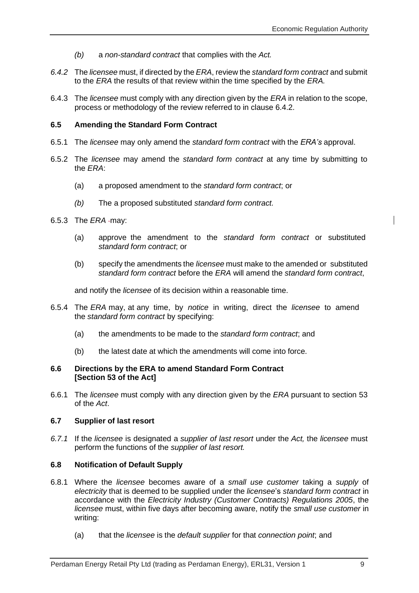- *(b)* a *non-standard contract* that complies with the *Act.*
- *6.4.2* The *licensee* must, if directed by the *ERA*, review the *standard form contract* and submit to the *ERA* the results of that review within the time specified by the *ERA.*
- 6.4.3 The *licensee* must comply with any direction given by the *ERA* in relation to the scope, process or methodology of the review referred to in clause 6.4.2.

#### <span id="page-14-0"></span>**6.5 Amending the Standard Form Contract**

- 6.5.1 The *licensee* may only amend the *standard form contract* with the *ERA's* approval.
- 6.5.2 The *licensee* may amend the *standard form contract* at any time by submitting to the *ERA*:
	- (a) a proposed amendment to the *standard form contract*; or
	- *(b)* The a proposed substituted *standard form contract.*
- 6.5.3 The *ERA* -may:
	- (a) approve the amendment to the *standard form contract* or substituted *standard form contract*; or
	- (b) specify the amendments the *licensee* must make to the amended or substituted *standard form contract* before the *ERA* will amend the *standard form contract*,

and notify the *licensee* of its decision within a reasonable time.

- 6.5.4 The *ERA* may, at any time, by *notice* in writing, direct the *licensee* to amend the *standard form contract* by specifying:
	- (a) the amendments to be made to the *standard form contract*; and
	- (b) the latest date at which the amendments will come into force.

#### <span id="page-14-1"></span>**6.6 Directions by the ERA to amend Standard Form Contract [Section 53 of the Act]**

6.6.1 The *licensee* must comply with any direction given by the *ERA* pursuant to section 53 of the *Act*.

#### <span id="page-14-2"></span>**6.7 Supplier of last resort**

*6.7.1* If the *licensee* is designated a *supplier of last resort* under the *Act,* the *licensee* must perform the functions of the *supplier of last resort.*

#### <span id="page-14-3"></span>**6.8 Notification of Default Supply**

- 6.8.1 Where the *licensee* becomes aware of a *small use customer* taking a *supply* of *electricity* that is deemed to be supplied under the *licensee*'s *standard form contract* in accordance with the *[Electricity Industry \(Customer Contracts\) Regulations 2005](http://www.slp.wa.gov.au/legislation/statutes.nsf/main_mrtitle_1345_homepage.html)*, the *licensee* must, within five days after becoming aware, notify the *small use customer* in writing:
	- (a) that the *licensee* is the *default supplier* for that *connection point*; and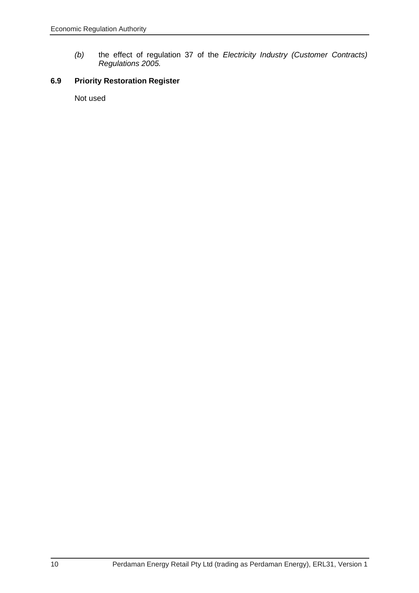*(b)* the effect of regulation 37 of the *Electricity Industry [\(Customer](http://www.slp.wa.gov.au/legislation/statutes.nsf/main_mrtitle_1345_homepage.html) Contracts) [Regulations 2005.](http://www.slp.wa.gov.au/legislation/statutes.nsf/main_mrtitle_1345_homepage.html)*

### <span id="page-15-0"></span>**6.9 Priority Restoration Register**

Not used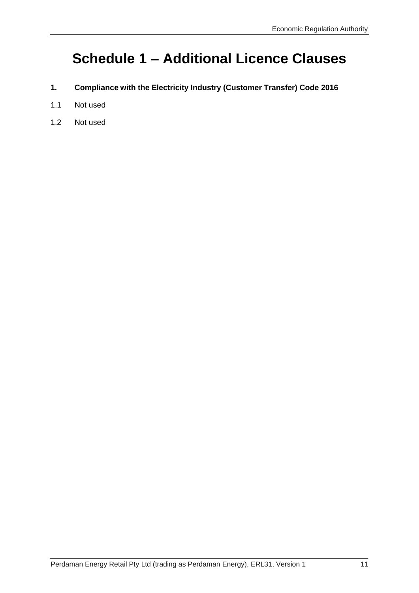# **Schedule 1 – Additional Licence Clauses**

- <span id="page-16-0"></span>**1. Compliance with the Electricity Industry (Customer Transfer) Code 2016**
- 1.1 Not used
- 1.2 Not used